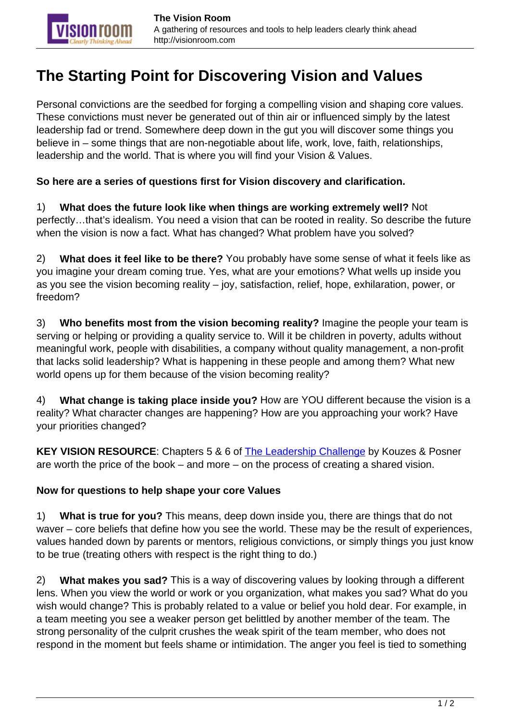## **The Starting Point for Discovering Vision and Values**

Personal convictions are the seedbed for forging a compelling vision and shaping core values. These convictions must never be generated out of thin air or influenced simply by the latest leadership fad or trend. Somewhere deep down in the gut you will discover some things you believe in – some things that are non-negotiable about life, work, love, faith, relationships, leadership and the world. That is where you will find your Vision & Values.

## **So here are a series of questions first for Vision discovery and clarification.**

1) **What does the future look like when things are working extremely well?** Not perfectly…that's idealism. You need a vision that can be rooted in reality. So describe the future when the vision is now a fact. What has changed? What problem have you solved?

2) **What does it feel like to be there?** You probably have some sense of what it feels like as you imagine your dream coming true. Yes, what are your emotions? What wells up inside you as you see the vision becoming reality – joy, satisfaction, relief, hope, exhilaration, power, or freedom?

3) **Who benefits most from the vision becoming reality?** Imagine the people your team is serving or helping or providing a quality service to. Will it be children in poverty, adults without meaningful work, people with disabilities, a company without quality management, a non-profit that lacks solid leadership? What is happening in these people and among them? What new world opens up for them because of the vision becoming reality?

4) **What change is taking place inside you?** How are YOU different because the vision is a reality? What character changes are happening? How are you approaching your work? Have your priorities changed?

**KEY VISION RESOURCE**: Chapters 5 & 6 of [The Leadership Challenge](http://www.amazon.com/dp/0787984922) by Kouzes & Posner are worth the price of the book – and more – on the process of creating a shared vision.

## **Now for questions to help shape your core Values**

1) **What is true for you?** This means, deep down inside you, there are things that do not waver – core beliefs that define how you see the world. These may be the result of experiences, values handed down by parents or mentors, religious convictions, or simply things you just know to be true (treating others with respect is the right thing to do.)

2) **What makes you sad?** This is a way of discovering values by looking through a different lens. When you view the world or work or you organization, what makes you sad? What do you wish would change? This is probably related to a value or belief you hold dear. For example, in a team meeting you see a weaker person get belittled by another member of the team. The strong personality of the culprit crushes the weak spirit of the team member, who does not respond in the moment but feels shame or intimidation. The anger you feel is tied to something